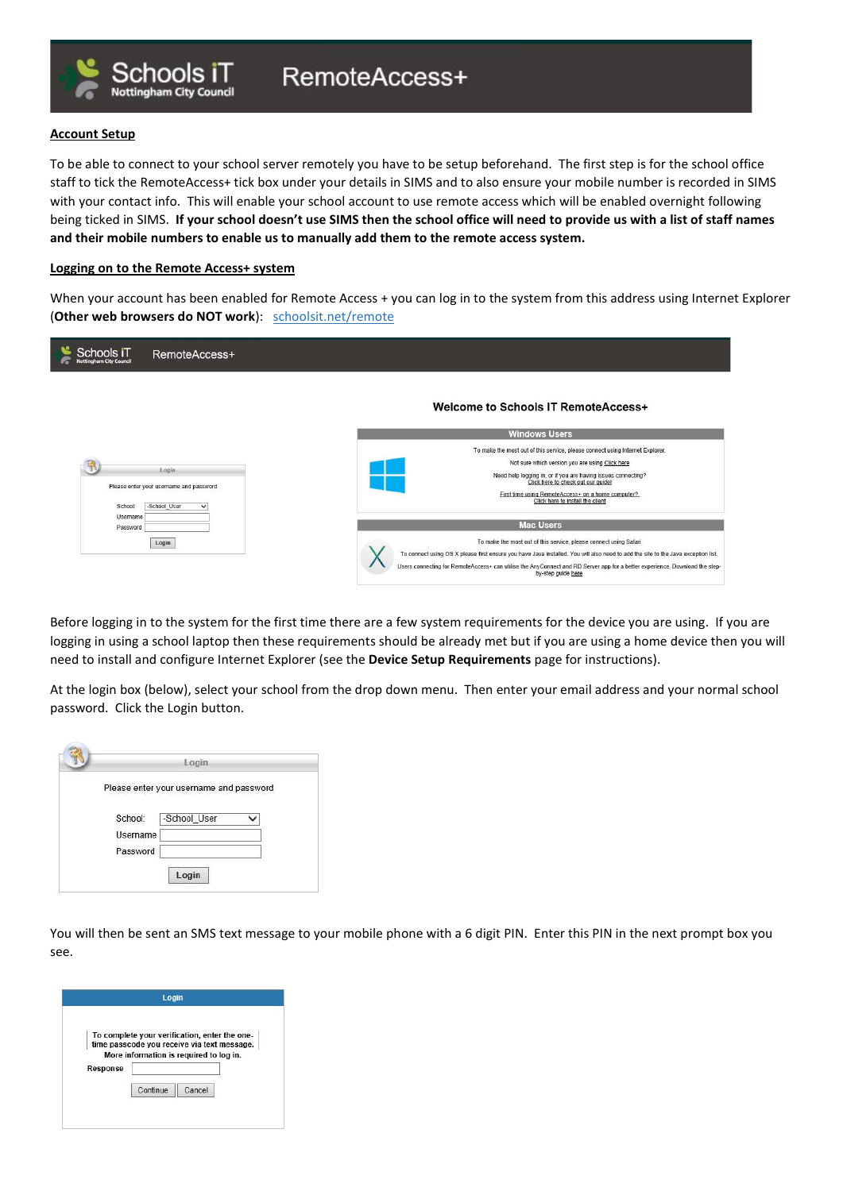

To be able to connect to your school server remotely you have to be setup beforehand. The first step is for the school office staff to tick the RemoteAccess+ tick box under your details in SIMS and to also ensure your mobile number is recorded in SIMS with your contact info. This will enable your school account to use remote access which will be enabled overnight following being ticked in SIMS. If your school doesn't use SIMS then the school office will need to provide us with a list of staff names and their mobile numbers to enable us to manually add them to the remote access system.

## Logging on to the Remote Access+ system

Schools iT

**Nottingham City Council** 

When your account has been enabled for Remote Access + you can log in to the system from this address using Internet Explorer (Other web browsers do NOT work): schoolsit.net/remote

| Schools iT<br><b>Nottingham City Council</b> | RemoteAccess+                                                                    |                                                                                                                                                                                                                                                                                                                                                             |
|----------------------------------------------|----------------------------------------------------------------------------------|-------------------------------------------------------------------------------------------------------------------------------------------------------------------------------------------------------------------------------------------------------------------------------------------------------------------------------------------------------------|
|                                              |                                                                                  | Welcome to Schools IT RemoteAccess+                                                                                                                                                                                                                                                                                                                         |
|                                              |                                                                                  | <b>Windows Users</b>                                                                                                                                                                                                                                                                                                                                        |
| School:<br>Username                          | Login<br>Please enter your username and password<br>-School_User<br>$\checkmark$ | To make the most out of this service, please connect using Internet Explorer.<br>Not sure which version you are using Click here<br>Need help logging in, or if you are having issues connecting?<br>Click here to check out our guide!<br>First time using RemoteAccess+ on a home computer?.<br>Click here to install the client                          |
| Password                                     |                                                                                  | <b>Mac Users</b>                                                                                                                                                                                                                                                                                                                                            |
|                                              | Login                                                                            | To make the most out of this service, please connect using Safari<br>To connect using OS X please first ensure you have Java installed. You will also need to add the site to the Java exception list.<br>Users connecting for RemoteAccess+ can utilise the AnyConnect and RD Server app for a better experience, Download the step-<br>by-step quide here |

Before logging in to the system for the first time there are a few system requirements for the device you are using. If you are logging in using a school laptop then these requirements should be already met but if you are using a home device then you will need to install and configure Internet Explorer (see the Device Setup Requirements page for instructions).

At the login box (below), select your school from the drop down menu. Then enter your email address and your normal school password. Click the Login button.

| Please enter your username and password |
|-----------------------------------------|
|                                         |
|                                         |
|                                         |
|                                         |
|                                         |

You will then be sent an SMS text message to your mobile phone with a 6 digit PIN. Enter this PIN in the next prompt box you see.

|          | To complete your verification, enter the one-<br>time passcode you receive via text message. |  |
|----------|----------------------------------------------------------------------------------------------|--|
|          | More information is required to log in.                                                      |  |
|          |                                                                                              |  |
|          |                                                                                              |  |
| Response |                                                                                              |  |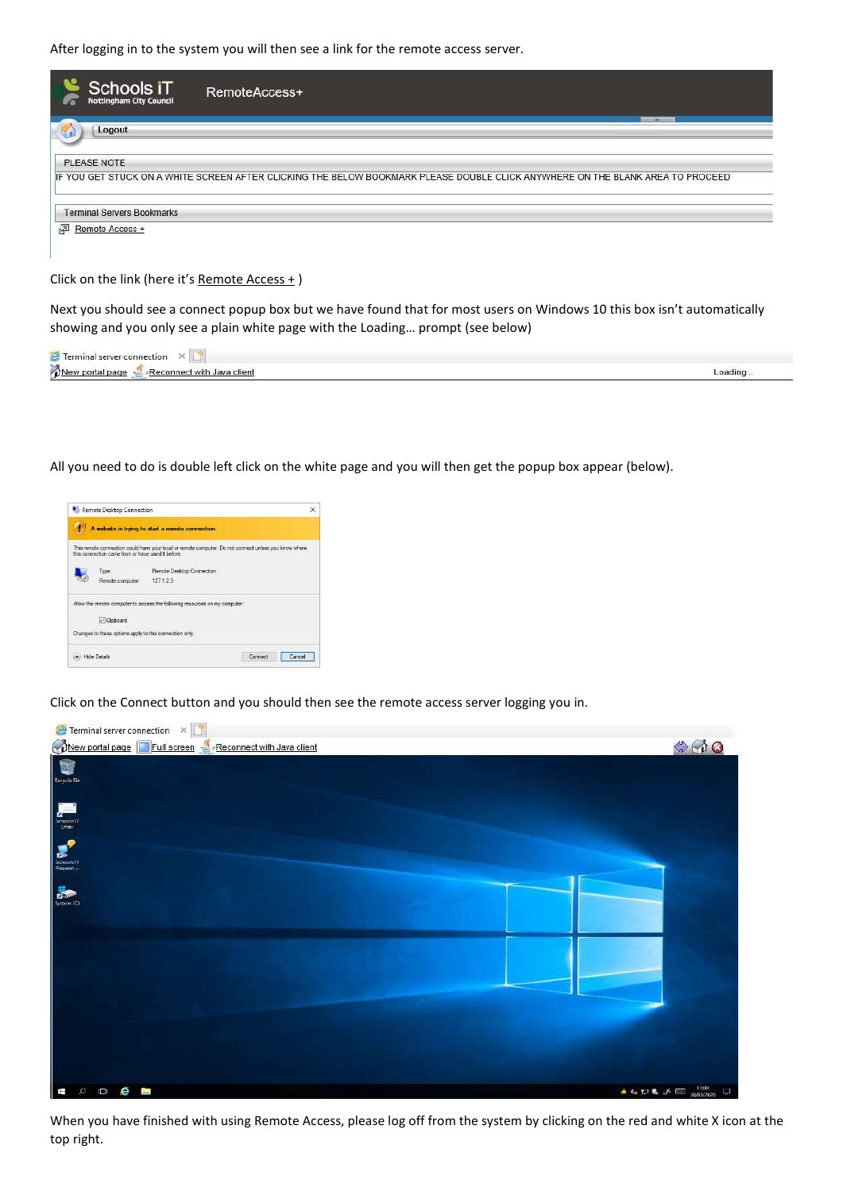After logging in to the system you will then see a link for the remote access server.

| Schools iT<br><b>Nottingham City Council</b> | RemoteAccess+                                                                                                                  |
|----------------------------------------------|--------------------------------------------------------------------------------------------------------------------------------|
| Logout                                       | <b>SALE</b>                                                                                                                    |
| PLEASE NOTE                                  |                                                                                                                                |
|                                              | IF YOU GET STUCK ON A WHITE SCREEN AFTER CLICKING THE BELOW BOOKMARK PLEASE DOUBLE CLICK ANYWHERE ON THE BLANK AREA TO PROCEED |
| <b>Terminal Servers Bookmarks</b>            |                                                                                                                                |
| 國<br>Remote Access +                         |                                                                                                                                |

Click on the link (here it's Remote Access + )

Next you should see a connect popup box but we have found that for most users on Windows 10 this box isn't automatically showing and you only see a plain white page with the Loading… prompt (see below)

| $\sim$<br><b>CONTINUE</b><br>∍ction |        |
|-------------------------------------|--------|
| ANG<br><b>diem</b><br>۰Ρ۵           | oading |

All you need to do is double left click on the white page and you will then get the popup box appear (below).



Click on the Connect button and you should then see the remote access server logging you in.



When you have finished with using Remote Access, please log off from the system by clicking on the red and white X icon at the top right.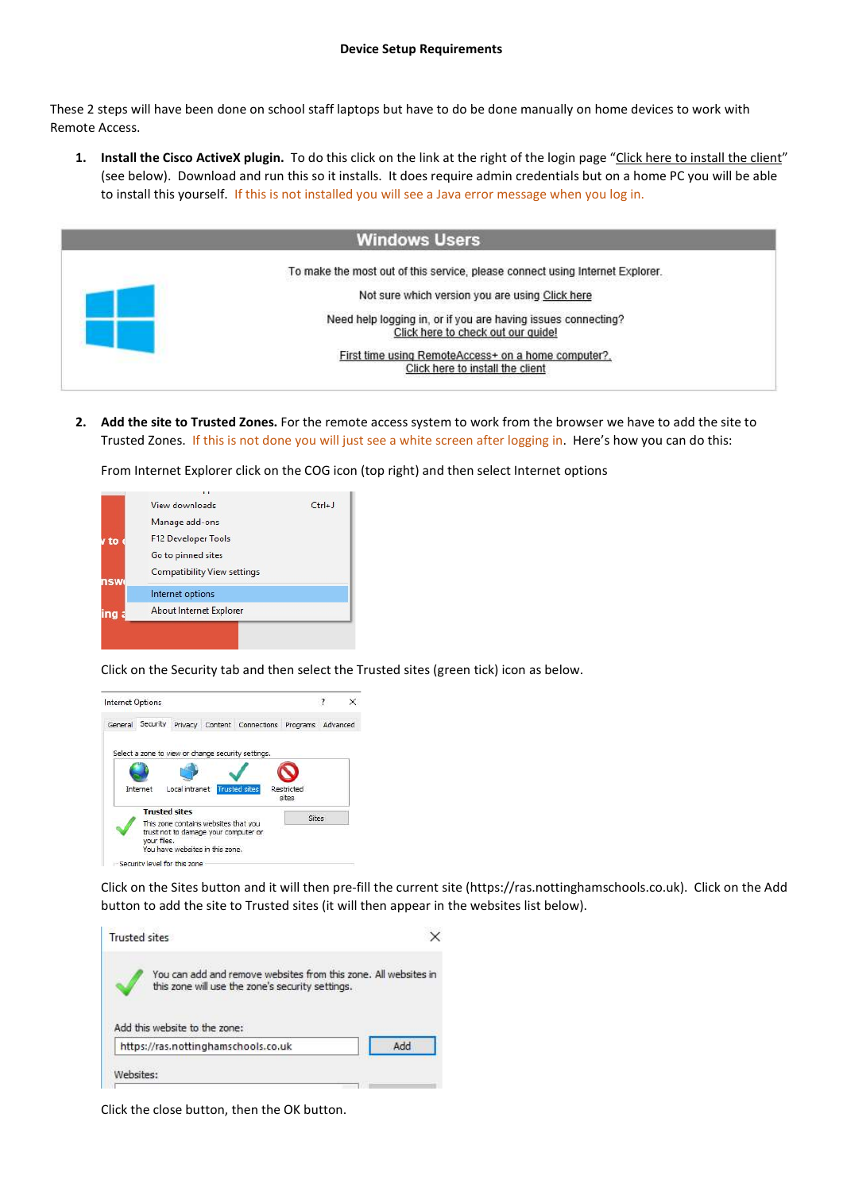These 2 steps will have been done on school staff laptops but have to do be done manually on home devices to work with Remote Access.

1. Install the Cisco ActiveX plugin. To do this click on the link at the right of the login page "Click here to install the client" (see below). Download and run this so it installs. It does require admin credentials but on a home PC you will be able to install this yourself. If this is not installed you will see a Java error message when you log in.



2. Add the site to Trusted Zones. For the remote access system to work from the browser we have to add the site to Trusted Zones. If this is not done you will just see a white screen after logging in. Here's how you can do this:

From Internet Explorer click on the COG icon (top right) and then select Internet options



Click on the Security tab and then select the Trusted sites (green tick) icon as below.



Click on the Sites button and it will then pre-fill the current site (https://ras.nottinghamschools.co.uk). Click on the Add button to add the site to Trusted sites (it will then appear in the websites list below).



Click the close button, then the OK button.